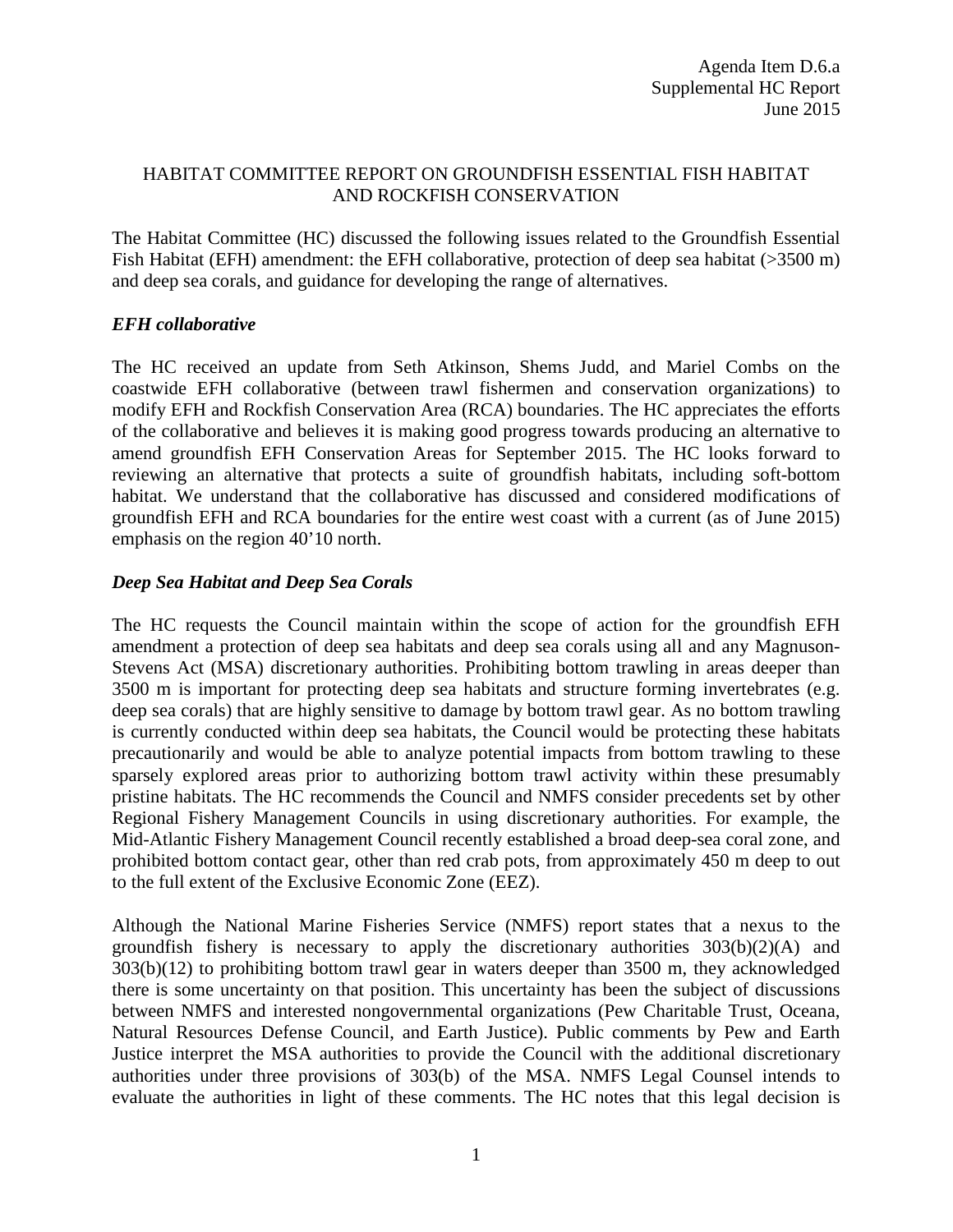## HABITAT COMMITTEE REPORT ON GROUNDFISH ESSENTIAL FISH HABITAT AND ROCKFISH CONSERVATION

The Habitat Committee (HC) discussed the following issues related to the Groundfish Essential Fish Habitat (EFH) amendment: the EFH collaborative, protection of deep sea habitat (>3500 m) and deep sea corals, and guidance for developing the range of alternatives.

## *EFH collaborative*

The HC received an update from Seth Atkinson, Shems Judd, and Mariel Combs on the coastwide EFH collaborative (between trawl fishermen and conservation organizations) to modify EFH and Rockfish Conservation Area (RCA) boundaries. The HC appreciates the efforts of the collaborative and believes it is making good progress towards producing an alternative to amend groundfish EFH Conservation Areas for September 2015. The HC looks forward to reviewing an alternative that protects a suite of groundfish habitats, including soft-bottom habitat. We understand that the collaborative has discussed and considered modifications of groundfish EFH and RCA boundaries for the entire west coast with a current (as of June 2015) emphasis on the region 40'10 north.

## *Deep Sea Habitat and Deep Sea Corals*

The HC requests the Council maintain within the scope of action for the groundfish EFH amendment a protection of deep sea habitats and deep sea corals using all and any Magnuson-Stevens Act (MSA) discretionary authorities. Prohibiting bottom trawling in areas deeper than 3500 m is important for protecting deep sea habitats and structure forming invertebrates (e.g. deep sea corals) that are highly sensitive to damage by bottom trawl gear. As no bottom trawling is currently conducted within deep sea habitats, the Council would be protecting these habitats precautionarily and would be able to analyze potential impacts from bottom trawling to these sparsely explored areas prior to authorizing bottom trawl activity within these presumably pristine habitats. The HC recommends the Council and NMFS consider precedents set by other Regional Fishery Management Councils in using discretionary authorities. For example, the Mid-Atlantic Fishery Management Council recently established a broad deep-sea coral zone, and prohibited bottom contact gear, other than red crab pots, from approximately 450 m deep to out to the full extent of the Exclusive Economic Zone (EEZ).

Although the National Marine Fisheries Service (NMFS) report states that a nexus to the groundfish fishery is necessary to apply the discretionary authorities  $303(b)(2)(A)$  and 303(b)(12) to prohibiting bottom trawl gear in waters deeper than 3500 m, they acknowledged there is some uncertainty on that position. This uncertainty has been the subject of discussions between NMFS and interested nongovernmental organizations (Pew Charitable Trust, Oceana, Natural Resources Defense Council, and Earth Justice). Public comments by Pew and Earth Justice interpret the MSA authorities to provide the Council with the additional discretionary authorities under three provisions of 303(b) of the MSA. NMFS Legal Counsel intends to evaluate the authorities in light of these comments. The HC notes that this legal decision is